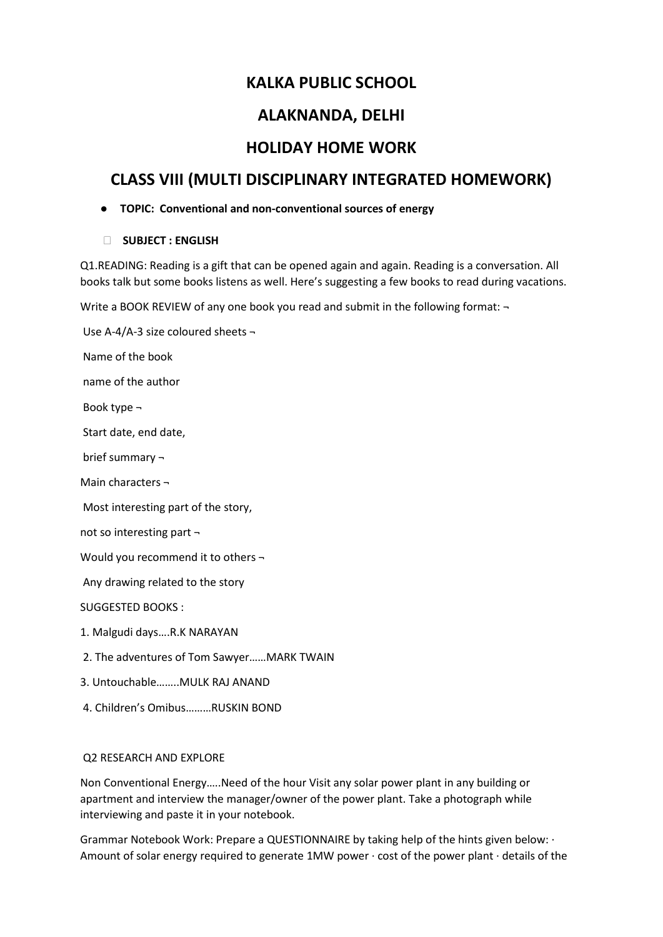# **KALKA PUBLIC SCHOOL**

# **ALAKNANDA, DELHI**

# **HOLIDAY HOME WORK**

# **CLASS VIII (MULTI DISCIPLINARY INTEGRATED HOMEWORK)**

## ● **TOPIC: Conventional and non-conventional sources of energy**

## ⮚ **SUBJECT : ENGLISH**

Q1.READING: Reading is a gift that can be opened again and again. Reading is a conversation. All books talk but some books listens as well. Here's suggesting a few books to read during vacations.

Write a BOOK REVIEW of any one book you read and submit in the following format:  $\neg$ 

Use A-4/A-3 size coloured sheets ¬ Name of the book name of the author Book type ¬ Start date, end date, brief summary ¬ Main characters ¬ Most interesting part of the story, not so interesting part ¬ Would you recommend it to others ¬ Any drawing related to the story SUGGESTED BOOKS : 1. Malgudi days….R.K NARAYAN 2. The adventures of Tom Sawyer……MARK TWAIN 3. Untouchable……..MULK RAJ ANAND 4. Children's Omibus………RUSKIN BOND

## Q2 RESEARCH AND EXPLORE

Non Conventional Energy…..Need of the hour Visit any solar power plant in any building or apartment and interview the manager/owner of the power plant. Take a photograph while interviewing and paste it in your notebook.

Grammar Notebook Work: Prepare a QUESTIONNAIRE by taking help of the hints given below: ∙ Amount of solar energy required to generate 1MW power ∙ cost of the power plant ∙ details of the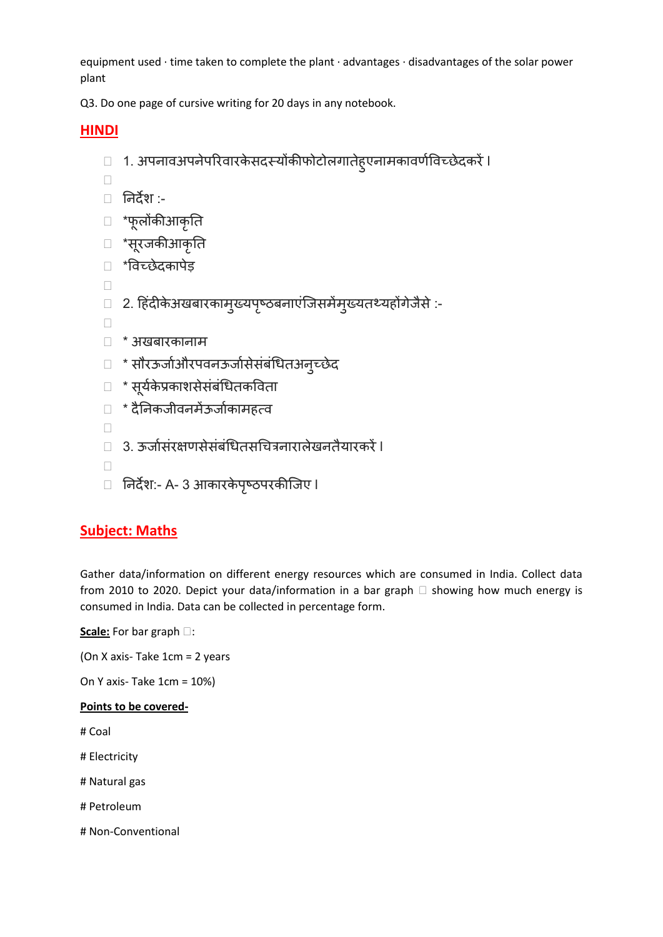equipment used ∙ time taken to complete the plant ∙ advantages ∙ disadvantages of the solar power plant

Q3. Do one page of cursive writing for 20 days in any notebook.

# **HINDI**

□ 1. अपनावअपनेपरिवारकेसदस्योंकीफोटोलगातेहुएनामकावर्णविच्छेदकरें ।

 $\Box$ 

- ⮚ ननदेश :-
- ⮚ \*पूरोंकीआकृनत
- ⮚ \*सूयजकीआकृनत
- ⮚ \*ववच्छेदकाऩेड़
- $\Box$
- ⮚ 2. हहदिं ीकेअखफायकाभुख्मऩष्ृठफनाएिंजजसभेंभुख्मतथ्महोंगेजैसे:-
- $\Box$
- ⮚ \* अखफायकानाभ
- ⮚ \* सौयऊजाणऔयऩवनऊजाणसेसिंफिंधधतअनुच्छेद
- ⮚ \* सूमकण ेप्रकाशसेसिंफिंधधतकववता
- ⮚ \* दैननकजीवनभेंऊजाणकाभहत्व
- $\Box$
- ⮚ 3. ऊजाणसिंयऺर्सेसिंफिंधधतसधित्रनायारेखनतैमायकयेंl
- $\Box$
- □ निर्देश:- A- 3 आकारकेपृष्ठपरकीजिए l

# **Subject: Maths**

Gather data/information on different energy resources which are consumed in India. Collect data from 2010 to 2020. Depict your data/information in a bar graph  $\Box$  showing how much energy is consumed in India. Data can be collected in percentage form.

Scale: For bar graph  $\square$ :

(On X axis- Take 1cm = 2 years

On Y axis- Take 1cm = 10%)

## **Points to be covered-**

# Coal

- # Electricity
- # Natural gas
- # Petroleum
- # Non-Conventional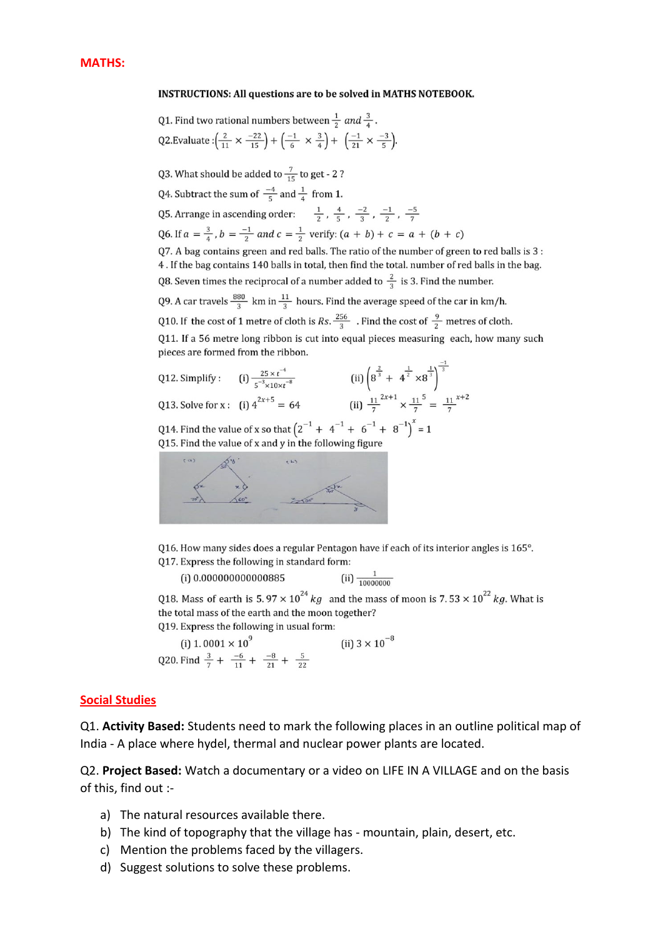#### **INSTRUCTIONS: All questions are to be solved in MATHS NOTEBOOK.**

Q1. Find two rational numbers between 
$$
\frac{1}{2}
$$
 and  $\frac{3}{4}$ .

\nQ2.Evaluate:  $\left(\frac{2}{11} \times \frac{-22}{15}\right) + \left(\frac{-1}{6} \times \frac{3}{4}\right) + \left(\frac{-1}{21} \times \frac{-3}{5}\right)$ .

Q3. What should be added to  $\frac{7}{15}$  to get - 2?

- Q4. Subtract the sum of  $\frac{-4}{5}$  and  $\frac{1}{4}$  from 1.
- Q5. Arrange in ascending order:  $\frac{1}{2}$ ,  $\frac{4}{5}$ ,  $\frac{-2}{3}$ ,  $\frac{-1}{2}$ ,  $\frac{-5}{7}$
- Q6. If  $a = \frac{3}{4}$ ,  $b = \frac{-1}{2}$  and  $c = \frac{1}{2}$  verify:  $(a + b) + c = a + (b + c)$
- Q7. A bag contains green and red balls. The ratio of the number of green to red balls is 3 : 4. If the bag contains 140 balls in total, then find the total. number of red balls in the bag. Q8. Seven times the reciprocal of a number added to  $\frac{2}{3}$  is 3. Find the number.
- Q9. A car travels  $\frac{880}{3}$  km in  $\frac{11}{3}$  hours. Find the average speed of the car in km/h.

Q10. If the cost of 1 metre of cloth is Rs.  $\frac{256}{3}$ . Find the cost of  $\frac{9}{2}$  metres of cloth.

Q11. If a 56 metre long ribbon is cut into equal pieces measuring each, how many such pieces are formed from the ribbon.

Q12. Simplify: (i) 
$$
\frac{25 \times t^{-4}}{5^{-3} \times 10 \times t^{-8}}
$$
 (ii)  $\left(8^{\frac{2}{3}} + 4^{\frac{1}{2}} \times 8^{\frac{1}{3}}\right)^{\frac{1}{3}}$   
\nQ13. Solve for x: (i)  $4^{2x+5} = 64$  (ii)  $\frac{11}{7}^{2x+1} \times \frac{11}{7}^{5} = \frac{11}{7}^{x+2}$   
\nQ14. Find the value of x so that  $\left(2^{-1} + 4^{-1} + 6^{-1} + 8^{-1}\right)^{x} = 1$ 

Q15. Find the value of x and y in the following figure



Q16. How many sides does a regular Pentagon have if each of its interior angles is 165°. Q17. Express the following in standard form:

(ii)  $\frac{1}{10000000}$ (i) 0.000000000000885

Q18. Mass of earth is 5.97  $\times$  10<sup>24</sup> kg and the mass of moon is 7.53  $\times$  10<sup>22</sup> kg. What is the total mass of the earth and the moon together?

Q19. Express the following in usual form:

(i) 1. 0001 × 10<sup>9</sup><br>
Q20. Find  $\frac{3}{7} + \frac{-6}{11} + \frac{-8}{21} + \frac{5}{22}$  (ii) 3 × 10<sup>-8</sup>

#### **Social Studies**

Q1. **Activity Based:** Students need to mark the following places in an outline political map of India - A place where hydel, thermal and nuclear power plants are located.

Q2. **Project Based:** Watch a documentary or a video on LIFE IN A VILLAGE and on the basis of this, find out :-

- a) The natural resources available there.
- b) The kind of topography that the village has mountain, plain, desert, etc.
- c) Mention the problems faced by the villagers.
- d) Suggest solutions to solve these problems.